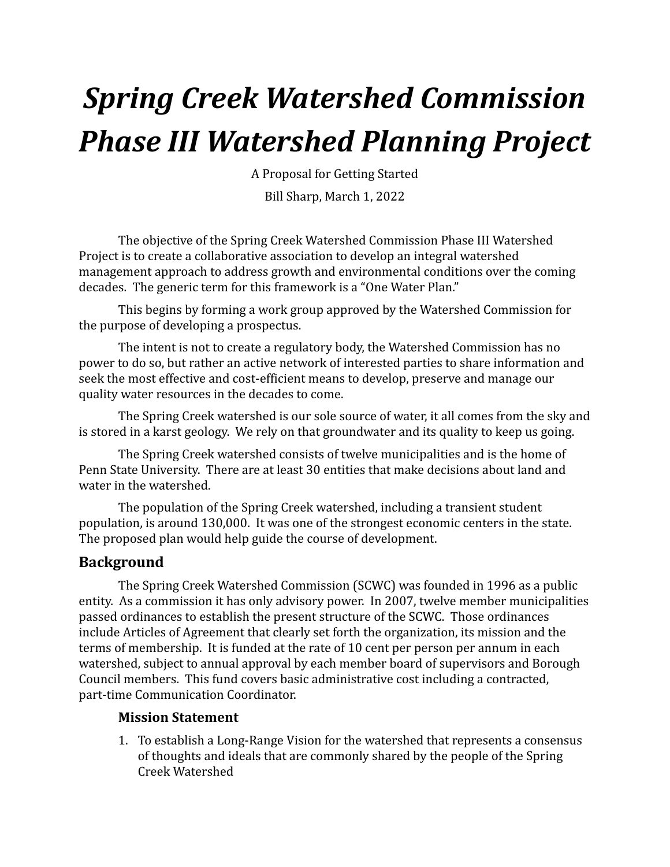# *Spring Creek Watershed Commission Phase III Watershed Planning Project*

A Proposal for Getting Started

Bill Sharp, March 1, 2022

The objective of the Spring Creek Watershed Commission Phase III Watershed Project is to create a collaborative association to develop an integral watershed management approach to address growth and environmental conditions over the coming decades. The generic term for this framework is a "One Water Plan."

This begins by forming a work group approved by the Watershed Commission for the purpose of developing a prospectus.

The intent is not to create a regulatory body, the Watershed Commission has no power to do so, but rather an active network of interested parties to share information and seek the most effective and cost-efficient means to develop, preserve and manage our quality water resources in the decades to come.

The Spring Creek watershed is our sole source of water, it all comes from the sky and is stored in a karst geology. We rely on that groundwater and its quality to keep us going.

The Spring Creek watershed consists of twelve municipalities and is the home of Penn State University. There are at least 30 entities that make decisions about land and water in the watershed.

The population of the Spring Creek watershed, including a transient student population, is around 130,000. It was one of the strongest economic centers in the state. The proposed plan would help guide the course of development.

## **Background**

The Spring Creek Watershed Commission (SCWC) was founded in 1996 as a public entity. As a commission it has only advisory power. In 2007, twelve member municipalities passed ordinances to establish the present structure of the SCWC. Those ordinances include Articles of Agreement that clearly set forth the organization, its mission and the terms of membership. It is funded at the rate of 10 cent per person per annum in each watershed, subject to annual approval by each member board of supervisors and Borough Council members. This fund covers basic administrative cost including a contracted, part-time Communication Coordinator.

#### **Mission Statement**

1. To establish a Long-Range Vision for the watershed that represents a consensus of thoughts and ideals that are commonly shared by the people of the Spring Creek Watershed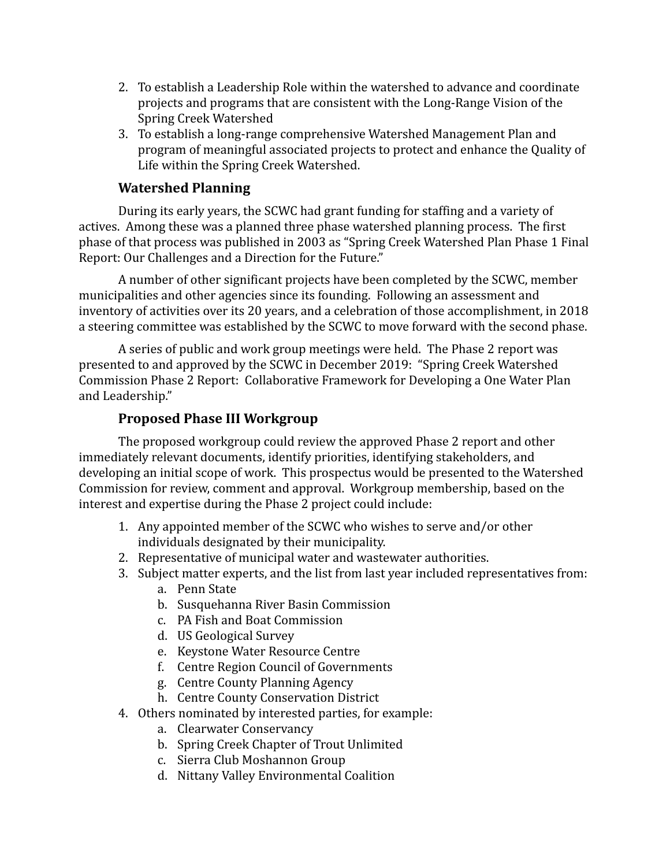- 2. To establish a Leadership Role within the watershed to advance and coordinate projects and programs that are consistent with the Long-Range Vision of the Spring Creek Watershed
- 3. To establish a long-range comprehensive Watershed Management Plan and program of meaningful associated projects to protect and enhance the Quality of Life within the Spring Creek Watershed.

## **Watershed Planning**

During its early years, the SCWC had grant funding for staffing and a variety of actives. Among these was a planned three phase watershed planning process. The first phase of that process was published in 2003 as "Spring Creek Watershed Plan Phase 1 Final Report: Our Challenges and a Direction for the Future."

A number of other significant projects have been completed by the SCWC, member municipalities and other agencies since its founding. Following an assessment and inventory of activities over its 20 years, and a celebration of those accomplishment, in 2018 a steering committee was established by the SCWC to move forward with the second phase.

A series of public and work group meetings were held. The Phase 2 report was presented to and approved by the SCWC in December 2019: "Spring Creek Watershed Commission Phase 2 Report: Collaborative Framework for Developing a One Water Plan and Leadership."

### **Proposed Phase III Workgroup**

The proposed workgroup could review the approved Phase 2 report and other immediately relevant documents, identify priorities, identifying stakeholders, and developing an initial scope of work. This prospectus would be presented to the Watershed Commission for review, comment and approval. Workgroup membership, based on the interest and expertise during the Phase 2 project could include:

- 1. Any appointed member of the SCWC who wishes to serve and/or other individuals designated by their municipality.
- 2. Representative of municipal water and wastewater authorities.
- 3. Subject matter experts, and the list from last year included representatives from: a. Penn State
	- b. Susquehanna River Basin Commission
	- c. PA Fish and Boat Commission
	- d. US Geological Survey
	- e. Keystone Water Resource Centre
	- f. Centre Region Council of Governments
	- g. Centre County Planning Agency
	- h. Centre County Conservation District
- 4. Others nominated by interested parties, for example:
	- a. Clearwater Conservancy
	- b. Spring Creek Chapter of Trout Unlimited
	- c. Sierra Club Moshannon Group
	- d. Nittany Valley Environmental Coalition